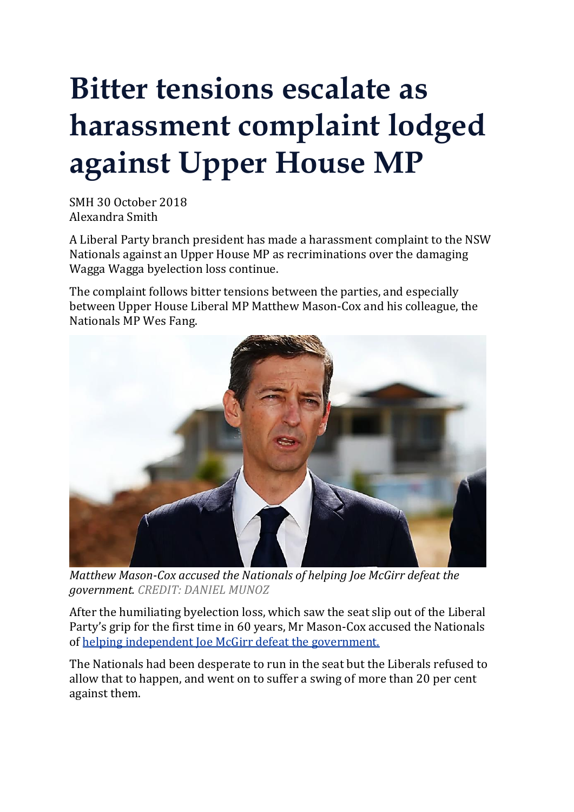## **Bitter tensions escalate as harassment complaint lodged against Upper House MP**

SMH 30 October 2018 Alexandra Smith

A Liberal Party branch president has made a harassment complaint to the NSW Nationals against an Upper House MP as recriminations over the damaging Wagga Wagga byelection loss continue.

The complaint follows bitter tensions between the parties, and especially between Upper House Liberal MP Matthew Mason-Cox and his colleague, the Nationals MP Wes Fang.



*Matthew Mason-Cox accused the Nationals of helping Joe McGirr defeat the government. CREDIT: DANIEL MUNOZ*

After the humiliating byelection loss, which saw the seat slip out of the Liberal Party's grip for the first time in 60 years, Mr Mason-Cox accused the Nationals of helping [independent](https://www.smh.com.au/link/follow-20170101-p503tm) Joe McGirr defeat the government.

The Nationals had been desperate to run in the seat but the Liberals refused to allow that to happen, and went on to suffer a swing of more than 20 per cent against them.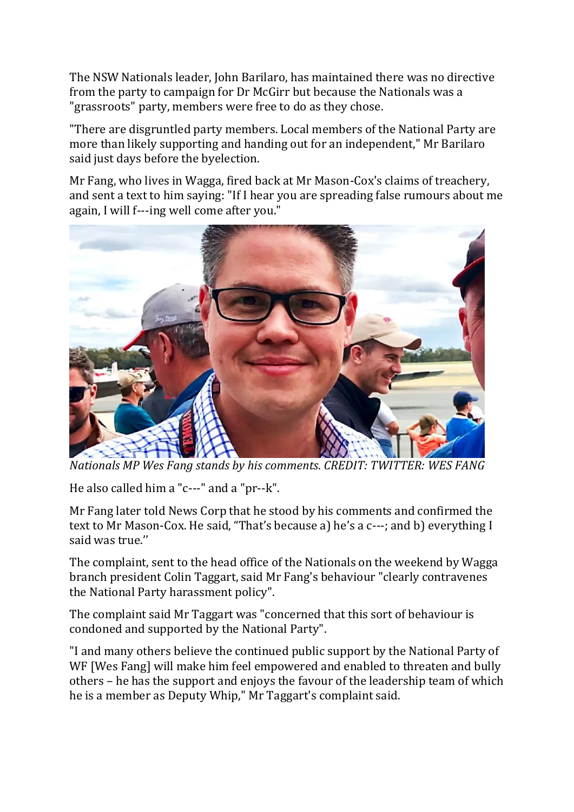The NSW Nationals leader, John Barilaro, has maintained there was no directive from the party to campaign for Dr McGirr but because the Nationals was a "grassroots" party, members were free to do as they chose.

"There are disgruntled party members. Local members of the National Party are more than likely supporting and handing out for an independent," Mr Barilaro said just days before the byelection.

Mr Fang, who lives in Wagga, fired back at Mr Mason-Cox's claims of treachery, and sent a text to him saying: "If I hear you are spreading false rumours about me again, I will f---ing well come after you."



*Nationals MP Wes Fang stands by his comments*. *CREDIT: TWITTER: WES FANG*

He also called him a "c---" and a "pr--k".

Mr Fang later told News Corp that he stood by his comments and confirmed the text to Mr Mason-Cox. He said, "That's because a) he's a c---; and b) everything I said was true.''

The complaint, sent to the head office of the Nationals on the weekend by Wagga branch president Colin Taggart, said Mr Fang's behaviour "clearly contravenes the National Party harassment policy".

The complaint said Mr Taggart was "concerned that this sort of behaviour is condoned and supported by the National Party".

"I and many others believe the continued public support by the National Party of WF [Wes Fang] will make him feel empowered and enabled to threaten and bully others – he has the support and enjoys the favour of the leadership team of which he is a member as Deputy Whip," Mr Taggart's complaint said.